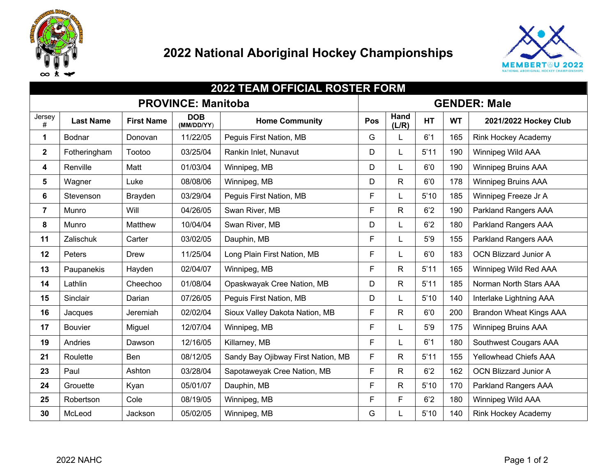

## **National Aboriginal Hockey Championships**



| 2022 TEAM OFFICIAL ROSTER FORM |                  |                   |                          |                                    |                     |               |           |           |                                |
|--------------------------------|------------------|-------------------|--------------------------|------------------------------------|---------------------|---------------|-----------|-----------|--------------------------------|
| <b>PROVINCE: Manitoba</b>      |                  |                   |                          |                                    | <b>GENDER: Male</b> |               |           |           |                                |
| Jersey<br>$\#$                 | <b>Last Name</b> | <b>First Name</b> | <b>DOB</b><br>(MM/DD/YY) | <b>Home Community</b>              | Pos                 | Hand<br>(L/R) | <b>HT</b> | <b>WT</b> | 2021/2022 Hockey Club          |
| 1                              | Bodnar           | Donovan           | 11/22/05                 | Peguis First Nation, MB            |                     |               | 6'1       | 165       | <b>Rink Hockey Academy</b>     |
| $\mathbf{2}$                   | Fotheringham     | Tootoo            | 03/25/04                 | Rankin Inlet, Nunavut              | D                   |               | 5'11      | 190       | Winnipeg Wild AAA              |
| 4                              | Renville         | Matt              | 01/03/04                 | Winnipeg, MB                       |                     |               | 6'0       | 190       | <b>Winnipeg Bruins AAA</b>     |
| 5                              | Wagner           | Luke              | 08/08/06                 | Winnipeg, MB                       | D                   | R             | 6'0       | 178       | <b>Winnipeg Bruins AAA</b>     |
| 6                              | Stevenson        | Brayden           | 03/29/04                 | Peguis First Nation, MB            | F                   |               | 5'10      | 185       | Winnipeg Freeze Jr A           |
| $\overline{7}$                 | Munro            | Will              | 04/26/05                 | Swan River, MB                     | F                   | $\mathsf{R}$  | 6'2       | 190       | Parkland Rangers AAA           |
| 8                              | Munro            | Matthew           | 10/04/04                 | Swan River, MB                     |                     |               | 6'2       | 180       | Parkland Rangers AAA           |
| 11                             | Zalischuk        | Carter            | 03/02/05                 | Dauphin, MB                        |                     |               | 5'9       | 155       | Parkland Rangers AAA           |
| 12                             | Peters           | Drew              | 11/25/04                 | Long Plain First Nation, MB        | F                   |               | 6'0       | 183       | <b>OCN Blizzard Junior A</b>   |
| 13                             | Paupanekis       | Hayden            | 02/04/07                 | Winnipeg, MB                       | F                   | R.            | 5'11      | 165       | Winnipeg Wild Red AAA          |
| 14                             | Lathlin          | Cheechoo          | 01/08/04                 | Opaskwayak Cree Nation, MB         | D                   | $\mathsf R$   | 5'11      | 185       | Norman North Stars AAA         |
| 15                             | Sinclair         | Darian            | 07/26/05                 | Peguis First Nation, MB            | D                   | L             | 5'10      | 140       | Interlake Lightning AAA        |
| 16                             | Jacques          | Jeremiah          | 02/02/04                 | Sioux Valley Dakota Nation, MB     | F                   | $\mathsf{R}$  | 6'0       | 200       | <b>Brandon Wheat Kings AAA</b> |
| 17                             | <b>Bouvier</b>   | Miguel            | 12/07/04                 | Winnipeg, MB                       | F                   | L             | 5'9       | 175       | <b>Winnipeg Bruins AAA</b>     |
| 19                             | Andries          | Dawson            | 12/16/05                 | Killarney, MB                      | F                   |               | 6'1       | 180       | Southwest Cougars AAA          |
| 21                             | Roulette         | Ben               | 08/12/05                 | Sandy Bay Ojibway First Nation, MB | F                   | $\mathsf{R}$  | 5'11      | 155       | <b>Yellowhead Chiefs AAA</b>   |
| 23                             | Paul             | Ashton            | 03/28/04                 | Sapotaweyak Cree Nation, MB        | F                   | $\mathsf{R}$  | 6'2       | 162       | <b>OCN Blizzard Junior A</b>   |
| 24                             | Grouette         | Kyan              | 05/01/07                 | Dauphin, MB                        | F                   | $\mathsf{R}$  | 5'10      | 170       | Parkland Rangers AAA           |
| 25                             | Robertson        | Cole              | 08/19/05                 | Winnipeg, MB                       | F                   | F.            | 6'2       | 180       | Winnipeg Wild AAA              |
| 30                             | McLeod           | Jackson           | 05/02/05                 | Winnipeg, MB                       | G                   |               | 5'10      | 140       | <b>Rink Hockey Academy</b>     |